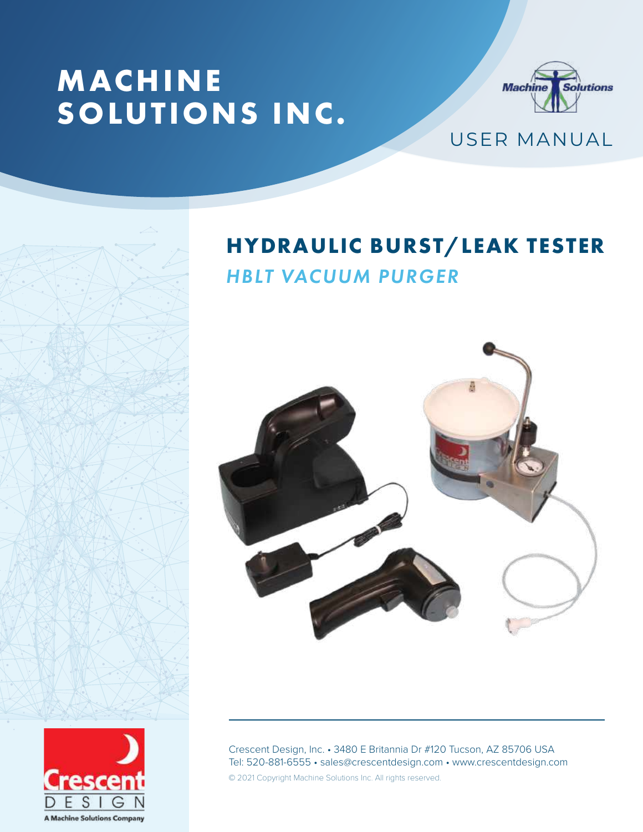# **MACHINE SOLUTIONS INC.**



USER MANUAL

# **HYDRAULIC BURST/LEAK TESTER**  *HBLT VACUUM PURGER*



esce

**A Machine Solutions Company** 

Crescent Design, Inc. • 3480 E Britannia Dr #120 Tucson, AZ 85706 USA Tel: 520-881-6555 • sales@crescentdesign.com • www.crescentdesign.com © 2021 Copyright Machine Solutions Inc. All rights reserved.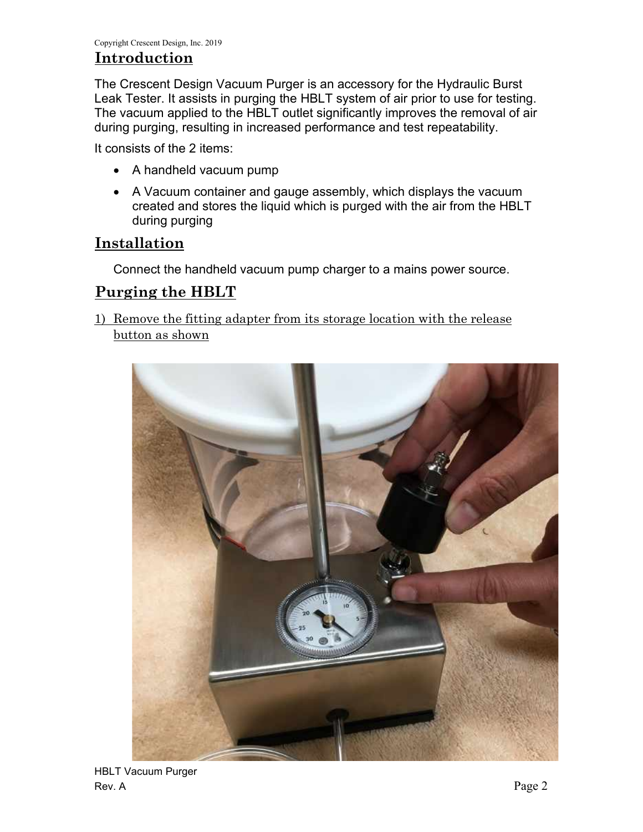## **Introduction**

The Crescent Design Vacuum Purger is an accessory for the Hydraulic Burst Leak Tester. It assists in purging the HBLT system of air prior to use for testing. The vacuum applied to the HBLT outlet significantly improves the removal of air during purging, resulting in increased performance and test repeatability.

It consists of the 2 items:

- A handheld vacuum pump
- A Vacuum container and gauge assembly, which displays the vacuum created and stores the liquid which is purged with the air from the HBLT during purging

### **Installation**

Connect the handheld vacuum pump charger to a mains power source.

### **Purging the HBLT**

1) Remove the fitting adapter from its storage location with the release button as shown

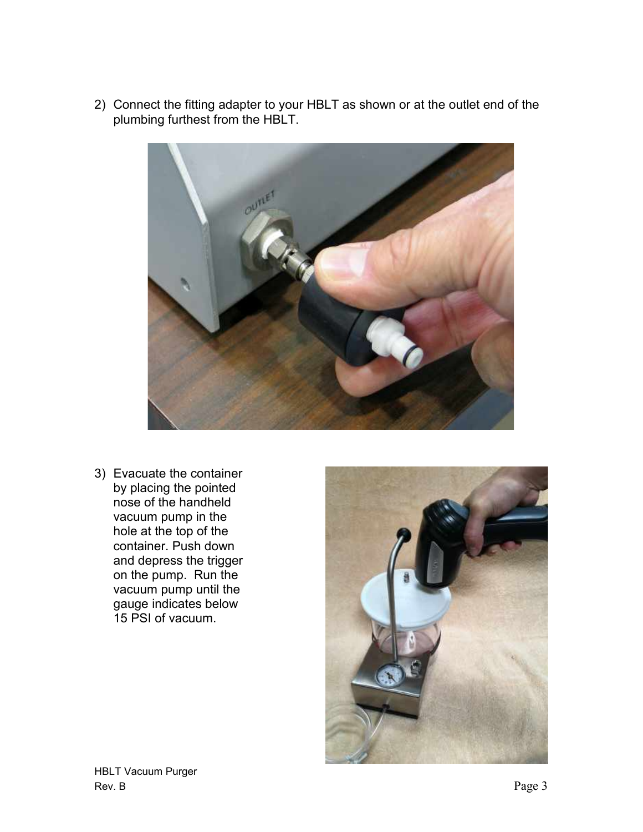2) Connect the fitting adapter to your HBLT as shown or at the outlet end of the plumbing furthest from the HBLT.



3) Evacuate the container by placing the pointed nose of the handheld vacuum pump in the hole at the top of the container. Push down and depress the trigger on the pump. Run the vacuum pump until the gauge indicates below 15 PSI of vacuum.

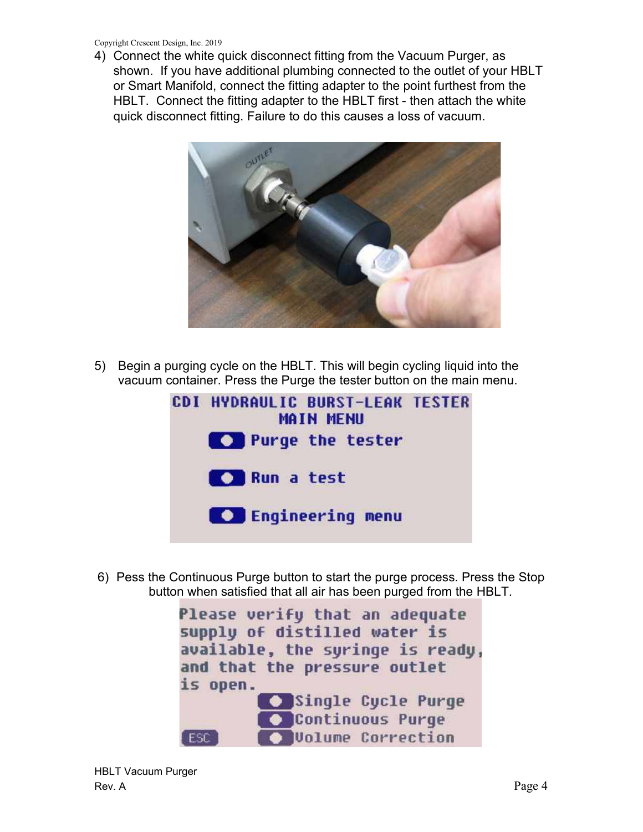Copyright Crescent Design, Inc. 2019

4) Connect the white quick disconnect fitting from the Vacuum Purger, as shown. If you have additional plumbing connected to the outlet of your HBLT or Smart Manifold, connect the fitting adapter to the point furthest from the HBLT. Connect the fitting adapter to the HBLT first - then attach the white quick disconnect fitting. Failure to do this causes a loss of vacuum.



5) Begin a purging cycle on the HBLT. This will begin cycling liquid into the vacuum container. Press the Purge the tester button on the main menu.



6) Pess the Continuous Purge button to start the purge process. Press the Stop button when satisfied that all air has been purged from the HBLT.

> Please verify that an adequate supply of distilled water is available, the syringe is ready, and that the pressure outlet is open. Single Cycle Purge C Continuous Purge O Volume Correction ESC.